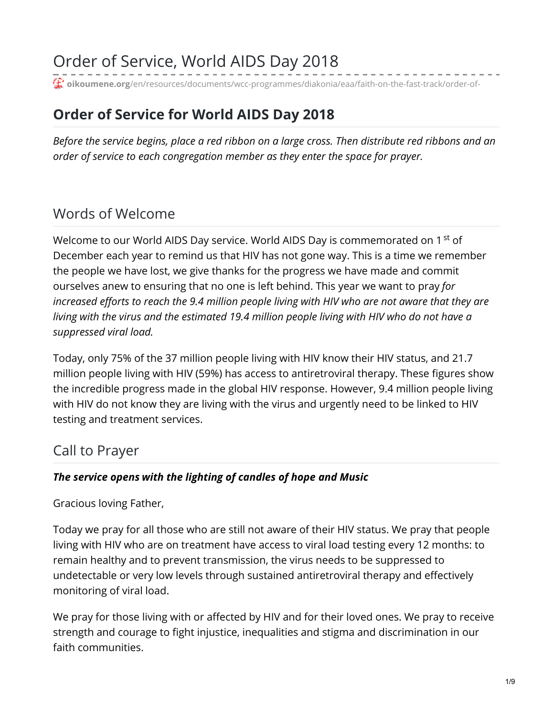# Order of Service, World AIDS Day 2018

**oikoumene.org**[/en/resources/documents/wcc-programmes/diakonia/eaa/faith-on-the-fast-track/order-of-](https://www.oikoumene.org/en/resources/documents/wcc-programmes/diakonia/eaa/faith-on-the-fast-track/order-of-service-world-aids-day-2018)

# **Order of Service for World AIDS Day 2018**

*Before the service begins, place a red ribbon on a large cross. Then distribute red ribbons and an order of service to each congregation member as they enter the space for prayer.*

# Words of Welcome

Welcome to our World AIDS Day service. World AIDS Day is commemorated on 1 <sup>st</sup> of December each year to remind us that HIV has not gone way. This is a time we remember the people we have lost, we give thanks for the progress we have made and commit ourselves anew to ensuring that no one is left behind. This year we want to pray *for increased efforts to reach the 9.4 million people living with HIV who are not aware that they are living with the virus and the estimated 19.4 million people living with HIV who do not have a suppressed viral load.*

Today, only 75% of the 37 million people living with HIV know their HIV status, and 21.7 million people living with HIV (59%) has access to antiretroviral therapy. These figures show the incredible progress made in the global HIV response. However, 9.4 million people living with HIV do not know they are living with the virus and urgently need to be linked to HIV testing and treatment services.

### Call to Prayer

#### *The service opens with the lighting of candles of hope and Music*

Gracious loving Father,

Today we pray for all those who are still not aware of their HIV status. We pray that people living with HIV who are on treatment have access to viral load testing every 12 months: to remain healthy and to prevent transmission, the virus needs to be suppressed to undetectable or very low levels through sustained antiretroviral therapy and effectively monitoring of viral load.

We pray for those living with or affected by HIV and for their loved ones. We pray to receive strength and courage to fight injustice, inequalities and stigma and discrimination in our faith communities.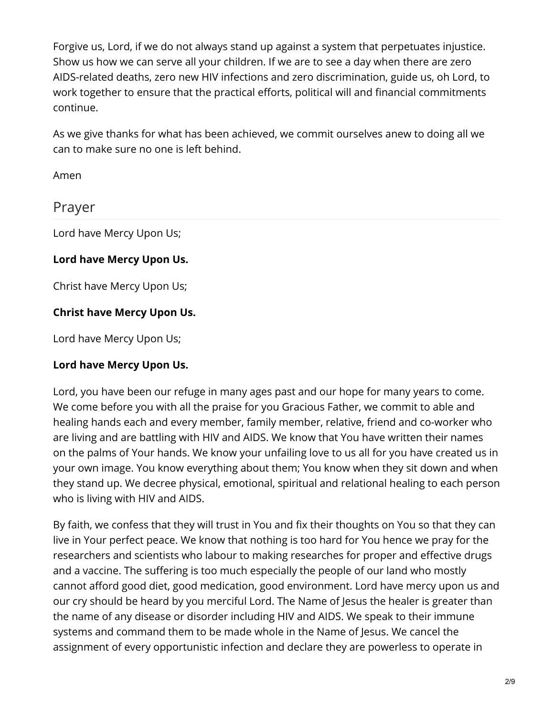Forgive us, Lord, if we do not always stand up against a system that perpetuates injustice. Show us how we can serve all your children. If we are to see a day when there are zero AIDS-related deaths, zero new HIV infections and zero discrimination, guide us, oh Lord, to work together to ensure that the practical efforts, political will and financial commitments continue.

As we give thanks for what has been achieved, we commit ourselves anew to doing all we can to make sure no one is left behind.

Amen

### Prayer

Lord have Mercy Upon Us;

#### **Lord have Mercy Upon Us.**

Christ have Mercy Upon Us;

#### **Christ have Mercy Upon Us.**

Lord have Mercy Upon Us;

#### **Lord have Mercy Upon Us.**

Lord, you have been our refuge in many ages past and our hope for many years to come. We come before you with all the praise for you Gracious Father, we commit to able and healing hands each and every member, family member, relative, friend and co-worker who are living and are battling with HIV and AIDS. We know that You have written their names on the palms of Your hands. We know your unfailing love to us all for you have created us in your own image. You know everything about them; You know when they sit down and when they stand up. We decree physical, emotional, spiritual and relational healing to each person who is living with HIV and AIDS.

By faith, we confess that they will trust in You and fix their thoughts on You so that they can live in Your perfect peace. We know that nothing is too hard for You hence we pray for the researchers and scientists who labour to making researches for proper and effective drugs and a vaccine. The suffering is too much especially the people of our land who mostly cannot afford good diet, good medication, good environment. Lord have mercy upon us and our cry should be heard by you merciful Lord. The Name of Jesus the healer is greater than the name of any disease or disorder including HIV and AIDS. We speak to their immune systems and command them to be made whole in the Name of Jesus. We cancel the assignment of every opportunistic infection and declare they are powerless to operate in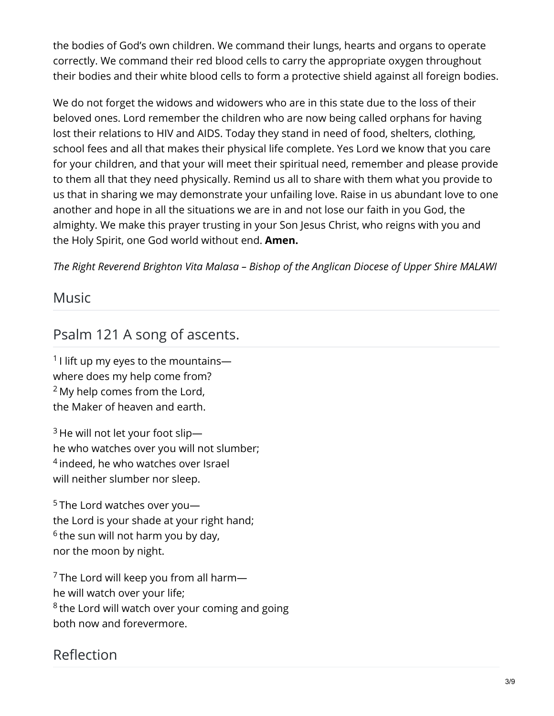the bodies of God's own children. We command their lungs, hearts and organs to operate correctly. We command their red blood cells to carry the appropriate oxygen throughout their bodies and their white blood cells to form a protective shield against all foreign bodies.

We do not forget the widows and widowers who are in this state due to the loss of their beloved ones. Lord remember the children who are now being called orphans for having lost their relations to HIV and AIDS. Today they stand in need of food, shelters, clothing, school fees and all that makes their physical life complete. Yes Lord we know that you care for your children, and that your will meet their spiritual need, remember and please provide to them all that they need physically. Remind us all to share with them what you provide to us that in sharing we may demonstrate your unfailing love. Raise in us abundant love to one another and hope in all the situations we are in and not lose our faith in you God, the almighty. We make this prayer trusting in your Son Jesus Christ, who reigns with you and the Holy Spirit, one God world without end. **Amen.**

*The Right Reverend Brighton Vita Malasa – Bishop of the Anglican Diocese of Upper Shire MALAWI*

#### Music

# Psalm 121 A song of ascents.

 $1$  l lift up my eyes to the mountains where does my help come from?  $2$  My help comes from the Lord, the Maker of heaven and earth.

 $3$  He will not let your foot slip he who watches over you will not slumber; <sup>4</sup> indeed, he who watches over Israel will neither slumber nor sleep.

 $5$  The Lord watches over you $$ the Lord is your shade at your right hand;  $6$  the sun will not harm you by day, nor the moon by night.

 $\frac{7}{7}$ The Lord will keep you from all harm he will watch over your life; <sup>8</sup> the Lord will watch over your coming and going both now and forevermore.

# Reflection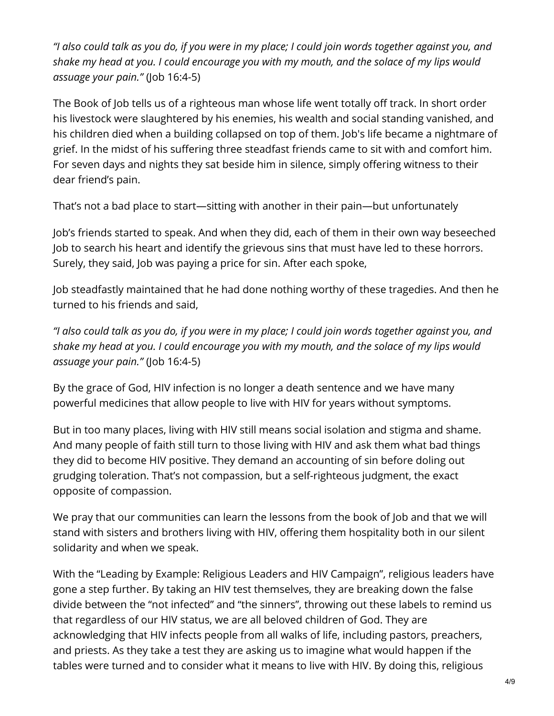"I also could talk as you do, if you were in my place; I could join words together against you, and *shake my head at you. I could encourage you with my mouth, and the solace of my lips would assuage your pain."* (Job 16:4-5)

The Book of Job tells us of a righteous man whose life went totally off track. In short order his livestock were slaughtered by his enemies, his wealth and social standing vanished, and his children died when a building collapsed on top of them. Job's life became a nightmare of grief. In the midst of his suffering three steadfast friends came to sit with and comfort him. For seven days and nights they sat beside him in silence, simply offering witness to their dear friend's pain.

That's not a bad place to start—sitting with another in their pain—but unfortunately

Job's friends started to speak. And when they did, each of them in their own way beseeched Job to search his heart and identify the grievous sins that must have led to these horrors. Surely, they said, Job was paying a price for sin. After each spoke,

Job steadfastly maintained that he had done nothing worthy of these tragedies. And then he turned to his friends and said,

"I also could talk as you do, if you were in my place; I could join words together against you, and *shake my head at you. I could encourage you with my mouth, and the solace of my lips would assuage your pain."* (Job 16:4-5)

By the grace of God, HIV infection is no longer a death sentence and we have many powerful medicines that allow people to live with HIV for years without symptoms.

But in too many places, living with HIV still means social isolation and stigma and shame. And many people of faith still turn to those living with HIV and ask them what bad things they did to become HIV positive. They demand an accounting of sin before doling out grudging toleration. That's not compassion, but a self-righteous judgment, the exact opposite of compassion.

We pray that our communities can learn the lessons from the book of Job and that we will stand with sisters and brothers living with HIV, offering them hospitality both in our silent solidarity and when we speak.

With the "Leading by Example: Religious Leaders and HIV Campaign", religious leaders have gone a step further. By taking an HIV test themselves, they are breaking down the false divide between the "not infected" and "the sinners", throwing out these labels to remind us that regardless of our HIV status, we are all beloved children of God. They are acknowledging that HIV infects people from all walks of life, including pastors, preachers, and priests. As they take a test they are asking us to imagine what would happen if the tables were turned and to consider what it means to live with HIV. By doing this, religious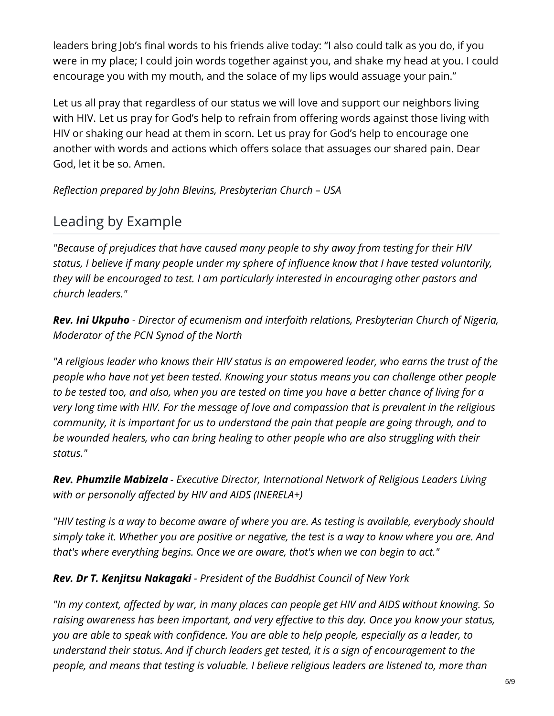leaders bring Job's final words to his friends alive today: "I also could talk as you do, if you were in my place; I could join words together against you, and shake my head at you. I could encourage you with my mouth, and the solace of my lips would assuage your pain."

Let us all pray that regardless of our status we will love and support our neighbors living with HIV. Let us pray for God's help to refrain from offering words against those living with HIV or shaking our head at them in scorn. Let us pray for God's help to encourage one another with words and actions which offers solace that assuages our shared pain. Dear God, let it be so. Amen.

*Reflection prepared by John Blevins, Presbyterian Church – USA*

# Leading by Example

*"Because of prejudices that have caused many people to shy away from testing for their HIV status, I believe if many people under my sphere of influence know that I have tested voluntarily, they will be encouraged to test. I am particularly interested in encouraging other pastors and church leaders."*

*Rev. Ini Ukpuho - Director of ecumenism and interfaith relations, Presbyterian Church of Nigeria, Moderator of the PCN Synod of the North*

*"A religious leader who knows their HIV status is an empowered leader, who earns the trust of the people who have not yet been tested. Knowing your status means you can challenge other people* to be tested too, and also, when you are tested on time you have a better chance of living for a *very long time with HIV. For the message of love and compassion that is prevalent in the religious community, it is important for us to understand the pain that people are going through, and to be wounded healers, who can bring healing to other people who are also struggling with their status."*

*Rev. Phumzile Mabizela - Executive Director, International Network of Religious Leaders Living with or personally affected by HIV and AIDS (INERELA+)*

*"HIV testing is a way to become aware of where you are. As testing is available, everybody should* simply take it. Whether you are positive or negative, the test is a way to know where you are. And *that's where everything begins. Once we are aware, that's when we can begin to act."*

*Rev. Dr T. Kenjitsu Nakagaki - President of the Buddhist Council of New York*

*"In my context, affected by war, in many places can people get HIV and AIDS without knowing. So raising awareness has been important, and very effective to this day. Once you know your status, you are able to speak with confidence. You are able to help people, especially as a leader, to understand their status. And if church leaders get tested, it is a sign of encouragement to the people, and means that testing is valuable. I believe religious leaders are listened to, more than*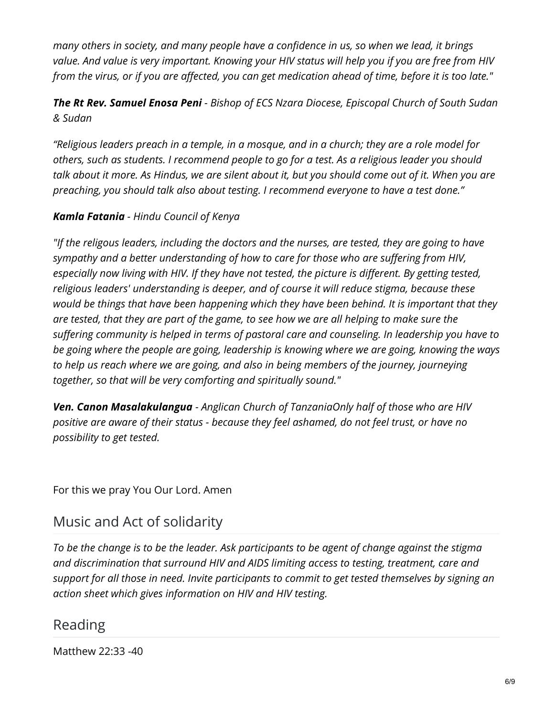*many others in society, and many people have a confidence in us, so when we lead, it brings* value. And value is very important. Knowing your HIV status will help you if you are free from HIV from the virus, or if you are affected, you can get medication ahead of time, before it is too late."

*The Rt Rev. Samuel Enosa Peni - Bishop of ECS Nzara Diocese, Episcopal Church of South Sudan & Sudan*

"Religious leaders preach in a temple, in a mosque, and in a church; they are a role model for *others, such as students. I recommend people to go for a test. As a religious leader you should* talk about it more. As Hindus, we are silent about it, but you should come out of it. When you are *preaching, you should talk also about testing. I recommend everyone to have a test done."*

#### *Kamla Fatania - Hindu Council of Kenya*

*"If the religous leaders, including the doctors and the nurses, are tested, they are going to have sympathy and a better understanding of how to care for those who are suffering from HIV, especially now living with HIV. If they have not tested, the picture is different. By getting tested, religious leaders' understanding is deeper, and of course it will reduce stigma, because these would be things that have been happening which they have been behind. It is important that they* are tested, that they are part of the game, to see how we are all helping to make sure the *suffering community is helped in terms of pastoral care and counseling. In leadership you have to be going where the people are going, leadership is knowing where we are going, knowing the ways to help us reach where we are going, and also in being members of the journey, journeying together, so that will be very comforting and spiritually sound."*

*Ven. Canon Masalakulangua - Anglican Church of TanzaniaOnly half of those who are HIV positive are aware of their status - because they feel ashamed, do not feel trust, or have no possibility to get tested.*

For this we pray You Our Lord. Amen

### Music and Act of solidarity

To be the change is to be the leader. Ask participants to be agent of change against the stigma *and discrimination that surround HIV and AIDS limiting access to testing, treatment, care and support for all those in need. Invite participants to commit to get tested themselves by signing an action sheet which gives information on HIV and HIV testing.*

#### Reading

Matthew 22:33 -40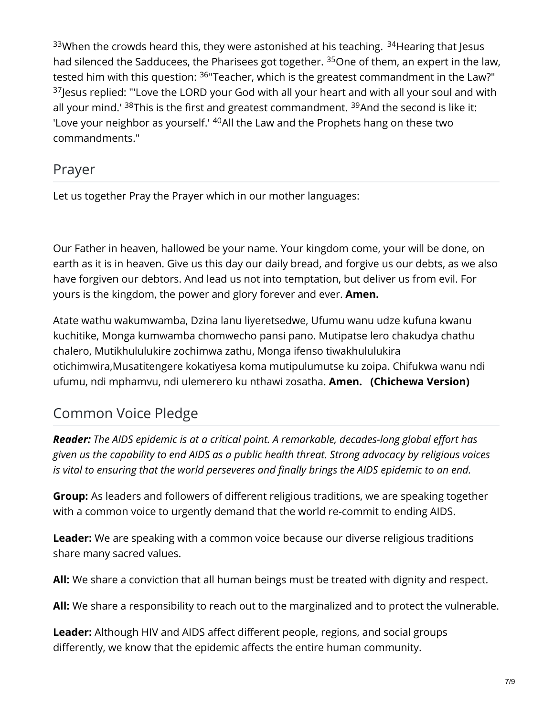$33$ When the crowds heard this, they were astonished at his teaching.  $34$ Hearing that Jesus had silenced the Sadducees, the Pharisees got together. <sup>35</sup>One of them, an expert in the law, tested him with this question: <sup>36</sup>"Teacher, which is the greatest commandment in the Law?"  $37$ Jesus replied: "'Love the LORD your God with all your heart and with all your soul and with all your mind.' <sup>38</sup>This is the first and greatest commandment. <sup>39</sup>And the second is like it: 'Love your neighbor as yourself.'  $^{40}$ All the Law and the Prophets hang on these two commandments."

### Prayer

Let us together Pray the Prayer which in our mother languages:

Our Father in heaven, hallowed be your name. Your kingdom come, your will be done, on earth as it is in heaven. Give us this day our daily bread, and forgive us our debts, as we also have forgiven our debtors. And lead us not into temptation, but deliver us from evil. For yours is the kingdom, the power and glory forever and ever. **Amen.**

Atate wathu wakumwamba, Dzina lanu liyeretsedwe, Ufumu wanu udze kufuna kwanu kuchitike, Monga kumwamba chomwecho pansi pano. Mutipatse lero chakudya chathu chalero, Mutikhululukire zochimwa zathu, Monga ifenso tiwakhululukira otichimwira,Musatitengere kokatiyesa koma mutipulumutse ku zoipa. Chifukwa wanu ndi ufumu, ndi mphamvu, ndi ulemerero ku nthawi zosatha. **Amen. (Chichewa Version)**

# Common Voice Pledge

*Reader: The AIDS epidemic is at a critical point. A remarkable, decades-long global effort has given us the capability to end AIDS as a public health threat. Strong advocacy by religious voices is vital to ensuring that the world perseveres and finally brings the AIDS epidemic to an end.*

**Group:** As leaders and followers of different religious traditions, we are speaking together with a common voice to urgently demand that the world re-commit to ending AIDS.

**Leader:** We are speaking with a common voice because our diverse religious traditions share many sacred values.

**All:** We share a conviction that all human beings must be treated with dignity and respect.

**All:** We share a responsibility to reach out to the marginalized and to protect the vulnerable.

**Leader:** Although HIV and AIDS affect different people, regions, and social groups differently, we know that the epidemic affects the entire human community.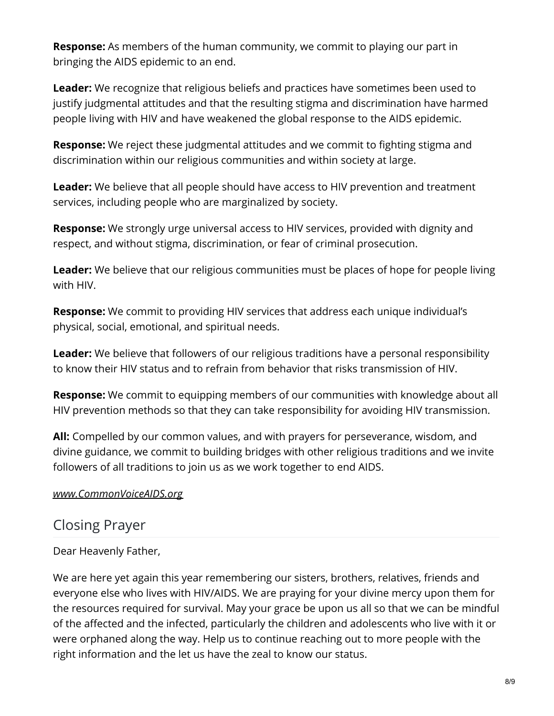**Response:** As members of the human community, we commit to playing our part in bringing the AIDS epidemic to an end.

**Leader:** We recognize that religious beliefs and practices have sometimes been used to justify judgmental attitudes and that the resulting stigma and discrimination have harmed people living with HIV and have weakened the global response to the AIDS epidemic.

**Response:** We reject these judgmental attitudes and we commit to fighting stigma and discrimination within our religious communities and within society at large.

**Leader:** We believe that all people should have access to HIV prevention and treatment services, including people who are marginalized by society.

**Response:** We strongly urge universal access to HIV services, provided with dignity and respect, and without stigma, discrimination, or fear of criminal prosecution.

**Leader:** We believe that our religious communities must be places of hope for people living with HIV.

**Response:** We commit to providing HIV services that address each unique individual's physical, social, emotional, and spiritual needs.

**Leader:** We believe that followers of our religious traditions have a personal responsibility to know their HIV status and to refrain from behavior that risks transmission of HIV.

**Response:** We commit to equipping members of our communities with knowledge about all HIV prevention methods so that they can take responsibility for avoiding HIV transmission.

**All:** Compelled by our common values, and with prayers for perseverance, wisdom, and divine guidance, we commit to building bridges with other religious traditions and we invite followers of all traditions to join us as we work together to end AIDS.

#### *[www.CommonVoiceAIDS.org](http://www.commonvoiceaids.org/)*

#### Closing Prayer

Dear Heavenly Father,

We are here yet again this year remembering our sisters, brothers, relatives, friends and everyone else who lives with HIV/AIDS. We are praying for your divine mercy upon them for the resources required for survival. May your grace be upon us all so that we can be mindful of the affected and the infected, particularly the children and adolescents who live with it or were orphaned along the way. Help us to continue reaching out to more people with the right information and the let us have the zeal to know our status.